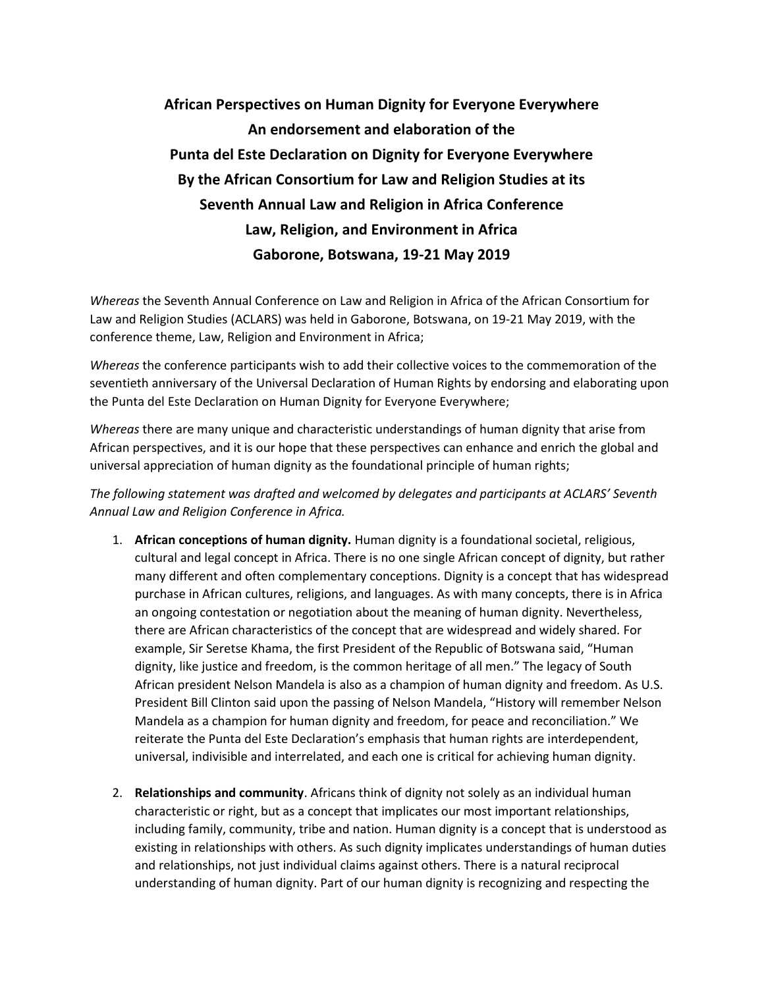## **African Perspectives on Human Dignity for Everyone Everywhere An endorsement and elaboration of the Punta del Este Declaration on Dignity for Everyone Everywhere By the African Consortium for Law and Religion Studies at its Seventh Annual Law and Religion in Africa Conference Law, Religion, and Environment in Africa Gaborone, Botswana, 19-21 May 2019**

*Whereas* the Seventh Annual Conference on Law and Religion in Africa of the African Consortium for Law and Religion Studies (ACLARS) was held in Gaborone, Botswana, on 19-21 May 2019, with the conference theme, Law, Religion and Environment in Africa;

*Whereas* the conference participants wish to add their collective voices to the commemoration of the seventieth anniversary of the Universal Declaration of Human Rights by endorsing and elaborating upon the Punta del Este Declaration on Human Dignity for Everyone Everywhere;

*Whereas* there are many unique and characteristic understandings of human dignity that arise from African perspectives, and it is our hope that these perspectives can enhance and enrich the global and universal appreciation of human dignity as the foundational principle of human rights;

*The following statement was drafted and welcomed by delegates and participants at ACLARS' Seventh Annual Law and Religion Conference in Africa.*

- 1. **African conceptions of human dignity.** Human dignity is a foundational societal, religious, cultural and legal concept in Africa. There is no one single African concept of dignity, but rather many different and often complementary conceptions. Dignity is a concept that has widespread purchase in African cultures, religions, and languages. As with many concepts, there is in Africa an ongoing contestation or negotiation about the meaning of human dignity. Nevertheless, there are African characteristics of the concept that are widespread and widely shared. For example, Sir Seretse Khama, the first President of the Republic of Botswana said, "Human dignity, like justice and freedom, is the common heritage of all men." The legacy of South African president Nelson Mandela is also as a champion of human dignity and freedom. As U.S. President Bill Clinton said upon the passing of Nelson Mandela, "History will remember Nelson Mandela as a champion for human dignity and freedom, for peace and reconciliation." We reiterate the Punta del Este Declaration's emphasis that human rights are interdependent, universal, indivisible and interrelated, and each one is critical for achieving human dignity.
- 2. **Relationships and community**. Africans think of dignity not solely as an individual human characteristic or right, but as a concept that implicates our most important relationships, including family, community, tribe and nation. Human dignity is a concept that is understood as existing in relationships with others. As such dignity implicates understandings of human duties and relationships, not just individual claims against others. There is a natural reciprocal understanding of human dignity. Part of our human dignity is recognizing and respecting the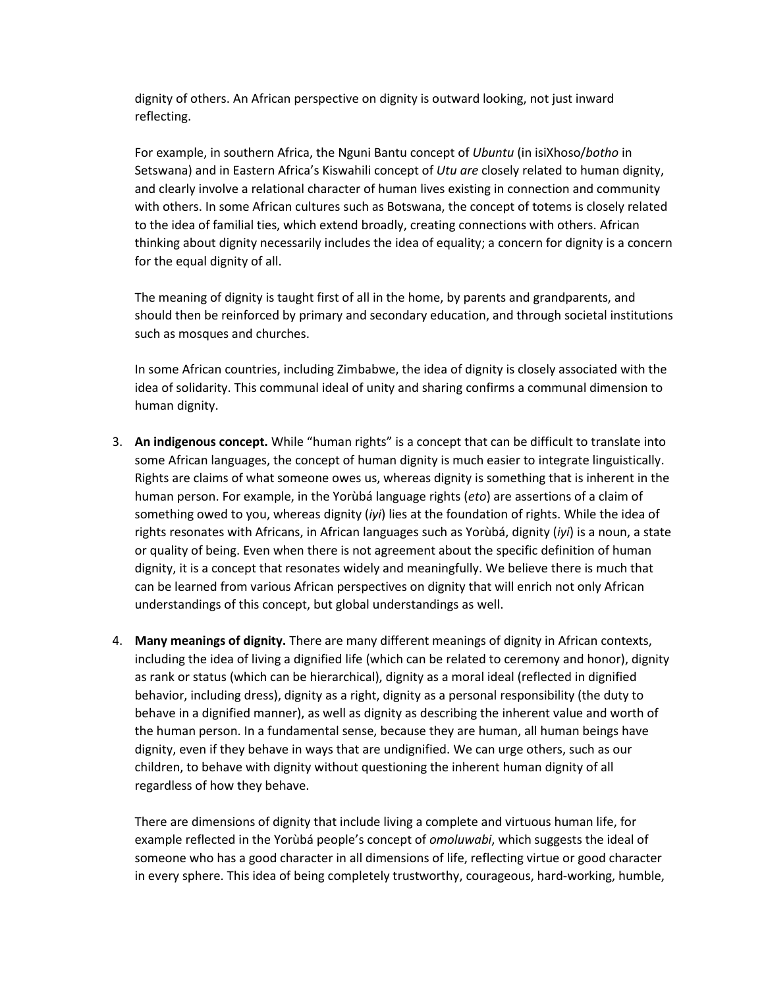dignity of others. An African perspective on dignity is outward looking, not just inward reflecting.

For example, in southern Africa, the Nguni Bantu concept of *Ubuntu* (in isiXhoso/*botho* in Setswana) and in Eastern Africa's Kiswahili concept of *Utu are* closely related to human dignity, and clearly involve a relational character of human lives existing in connection and community with others. In some African cultures such as Botswana, the concept of totems is closely related to the idea of familial ties, which extend broadly, creating connections with others. African thinking about dignity necessarily includes the idea of equality; a concern for dignity is a concern for the equal dignity of all.

The meaning of dignity is taught first of all in the home, by parents and grandparents, and should then be reinforced by primary and secondary education, and through societal institutions such as mosques and churches.

In some African countries, including Zimbabwe, the idea of dignity is closely associated with the idea of solidarity. This communal ideal of unity and sharing confirms a communal dimension to human dignity.

- 3. **An indigenous concept.** While "human rights" is a concept that can be difficult to translate into some African languages, the concept of human dignity is much easier to integrate linguistically. Rights are claims of what someone owes us, whereas dignity is something that is inherent in the human person. For example, in the Yorùbá language rights (*eto*) are assertions of a claim of something owed to you, whereas dignity (*iyi*) lies at the foundation of rights. While the idea of rights resonates with Africans, in African languages such as Yorùbá, dignity (*iyi*) is a noun, a state or quality of being. Even when there is not agreement about the specific definition of human dignity, it is a concept that resonates widely and meaningfully. We believe there is much that can be learned from various African perspectives on dignity that will enrich not only African understandings of this concept, but global understandings as well.
- 4. **Many meanings of dignity.** There are many different meanings of dignity in African contexts, including the idea of living a dignified life (which can be related to ceremony and honor), dignity as rank or status (which can be hierarchical), dignity as a moral ideal (reflected in dignified behavior, including dress), dignity as a right, dignity as a personal responsibility (the duty to behave in a dignified manner), as well as dignity as describing the inherent value and worth of the human person. In a fundamental sense, because they are human, all human beings have dignity, even if they behave in ways that are undignified. We can urge others, such as our children, to behave with dignity without questioning the inherent human dignity of all regardless of how they behave.

There are dimensions of dignity that include living a complete and virtuous human life, for example reflected in the Yorùbá people's concept of *omoluwabi*, which suggests the ideal of someone who has a good character in all dimensions of life, reflecting virtue or good character in every sphere. This idea of being completely trustworthy, courageous, hard-working, humble,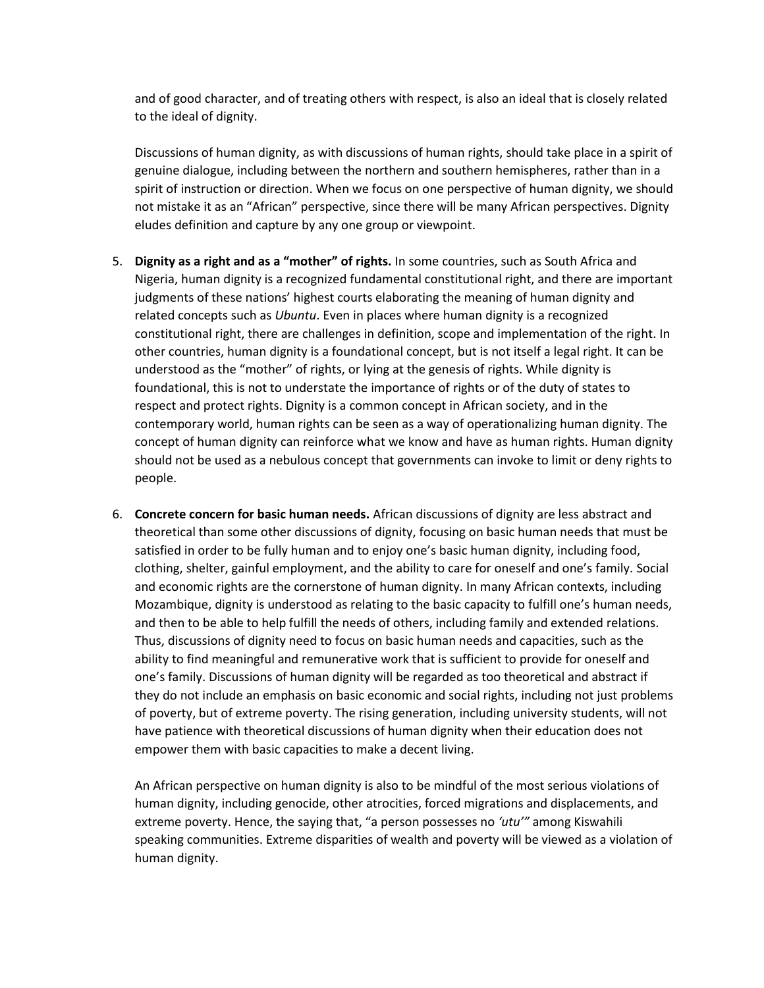and of good character, and of treating others with respect, is also an ideal that is closely related to the ideal of dignity.

Discussions of human dignity, as with discussions of human rights, should take place in a spirit of genuine dialogue, including between the northern and southern hemispheres, rather than in a spirit of instruction or direction. When we focus on one perspective of human dignity, we should not mistake it as an "African" perspective, since there will be many African perspectives. Dignity eludes definition and capture by any one group or viewpoint.

- 5. **Dignity as a right and as a "mother" of rights.** In some countries, such as South Africa and Nigeria, human dignity is a recognized fundamental constitutional right, and there are important judgments of these nations' highest courts elaborating the meaning of human dignity and related concepts such as *Ubuntu*. Even in places where human dignity is a recognized constitutional right, there are challenges in definition, scope and implementation of the right. In other countries, human dignity is a foundational concept, but is not itself a legal right. It can be understood as the "mother" of rights, or lying at the genesis of rights. While dignity is foundational, this is not to understate the importance of rights or of the duty of states to respect and protect rights. Dignity is a common concept in African society, and in the contemporary world, human rights can be seen as a way of operationalizing human dignity. The concept of human dignity can reinforce what we know and have as human rights. Human dignity should not be used as a nebulous concept that governments can invoke to limit or deny rights to people.
- 6. **Concrete concern for basic human needs.** African discussions of dignity are less abstract and theoretical than some other discussions of dignity, focusing on basic human needs that must be satisfied in order to be fully human and to enjoy one's basic human dignity, including food, clothing, shelter, gainful employment, and the ability to care for oneself and one's family. Social and economic rights are the cornerstone of human dignity. In many African contexts, including Mozambique, dignity is understood as relating to the basic capacity to fulfill one's human needs, and then to be able to help fulfill the needs of others, including family and extended relations. Thus, discussions of dignity need to focus on basic human needs and capacities, such as the ability to find meaningful and remunerative work that is sufficient to provide for oneself and one's family. Discussions of human dignity will be regarded as too theoretical and abstract if they do not include an emphasis on basic economic and social rights, including not just problems of poverty, but of extreme poverty. The rising generation, including university students, will not have patience with theoretical discussions of human dignity when their education does not empower them with basic capacities to make a decent living.

An African perspective on human dignity is also to be mindful of the most serious violations of human dignity, including genocide, other atrocities, forced migrations and displacements, and extreme poverty. Hence, the saying that, "a person possesses no *'utu'"* among Kiswahili speaking communities. Extreme disparities of wealth and poverty will be viewed as a violation of human dignity.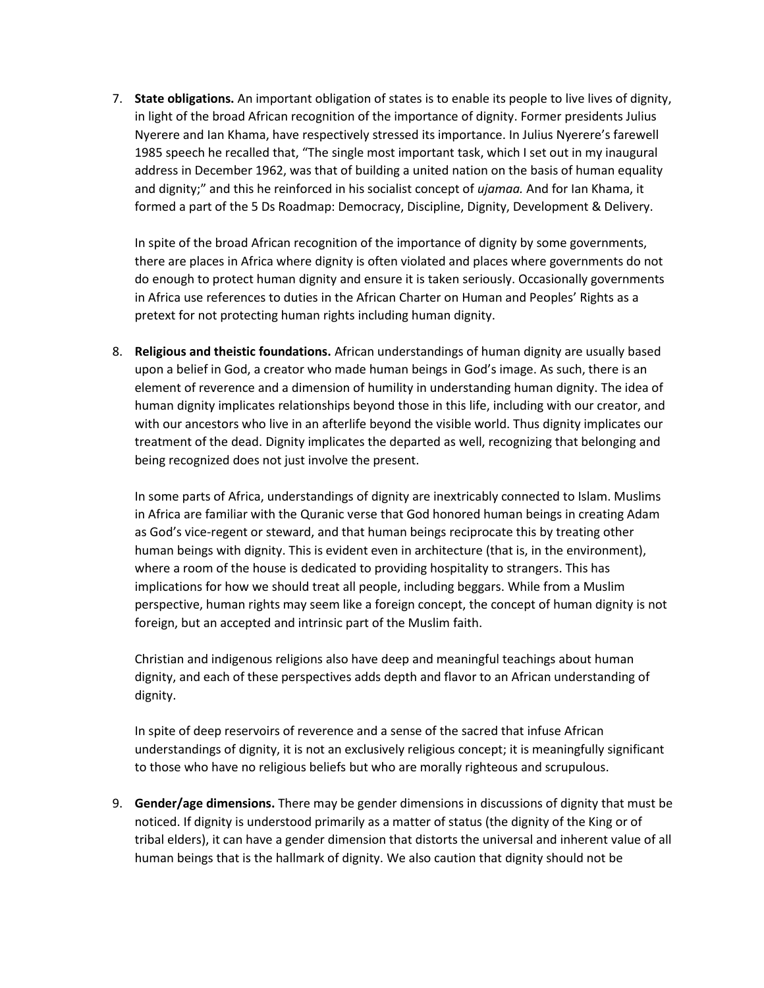7. **State obligations.** An important obligation of states is to enable its people to live lives of dignity, in light of the broad African recognition of the importance of dignity. Former presidents Julius Nyerere and Ian Khama, have respectively stressed its importance. In Julius Nyerere's farewell 1985 speech he recalled that, "The single most important task, which I set out in my inaugural address in December 1962, was that of building a united nation on the basis of human equality and dignity;" and this he reinforced in his socialist concept of *ujamaa.* And for Ian Khama, it formed a part of the 5 Ds Roadmap: Democracy, Discipline, Dignity, Development & Delivery.

In spite of the broad African recognition of the importance of dignity by some governments, there are places in Africa where dignity is often violated and places where governments do not do enough to protect human dignity and ensure it is taken seriously. Occasionally governments in Africa use references to duties in the African Charter on Human and Peoples' Rights as a pretext for not protecting human rights including human dignity.

8. **Religious and theistic foundations.** African understandings of human dignity are usually based upon a belief in God, a creator who made human beings in God's image. As such, there is an element of reverence and a dimension of humility in understanding human dignity. The idea of human dignity implicates relationships beyond those in this life, including with our creator, and with our ancestors who live in an afterlife beyond the visible world. Thus dignity implicates our treatment of the dead. Dignity implicates the departed as well, recognizing that belonging and being recognized does not just involve the present.

In some parts of Africa, understandings of dignity are inextricably connected to Islam. Muslims in Africa are familiar with the Quranic verse that God honored human beings in creating Adam as God's vice-regent or steward, and that human beings reciprocate this by treating other human beings with dignity. This is evident even in architecture (that is, in the environment), where a room of the house is dedicated to providing hospitality to strangers. This has implications for how we should treat all people, including beggars. While from a Muslim perspective, human rights may seem like a foreign concept, the concept of human dignity is not foreign, but an accepted and intrinsic part of the Muslim faith.

Christian and indigenous religions also have deep and meaningful teachings about human dignity, and each of these perspectives adds depth and flavor to an African understanding of dignity.

In spite of deep reservoirs of reverence and a sense of the sacred that infuse African understandings of dignity, it is not an exclusively religious concept; it is meaningfully significant to those who have no religious beliefs but who are morally righteous and scrupulous.

9. **Gender/age dimensions.** There may be gender dimensions in discussions of dignity that must be noticed. If dignity is understood primarily as a matter of status (the dignity of the King or of tribal elders), it can have a gender dimension that distorts the universal and inherent value of all human beings that is the hallmark of dignity. We also caution that dignity should not be